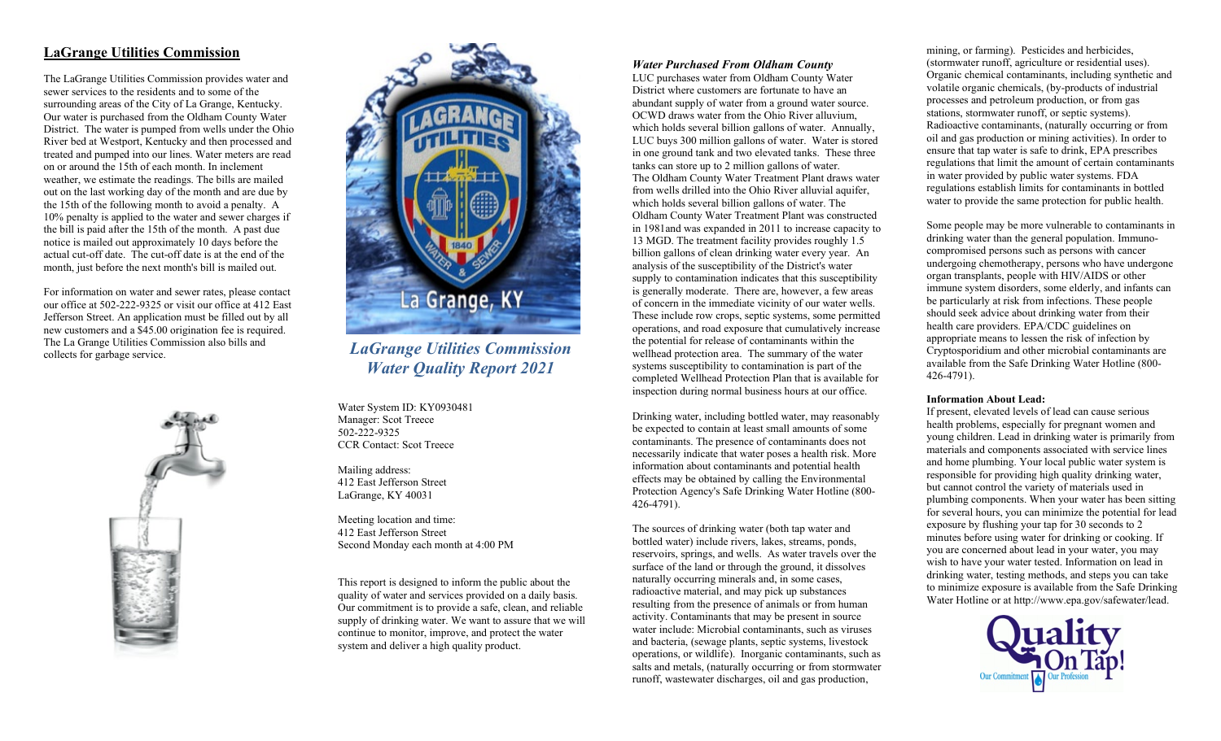# **LaGrange Utilities Commission**

The LaGrange Utilities Commission provides water and sewer services to the residents and to some of the surrounding areas of the City of La Grange, Kentucky. Our water is purchased from the Oldham County Water District. The water is pumped from wells under the Ohio River bed at Westport, Kentucky and then processed and treated and pumped into our lines. Water meters are read on or around the 15th of each month. In inclement weather, we estimate the readings. The bills are mailed out on the last working day of the month and are due by the 15th of the following month to avoid a penalty. A 10% penalty is applied to the water and sewer charges if the bill is paid after the 15th of the month. A past due notice is mailed out approximately 10 days before the actual cut-off date. The cut-off date is at the end of the month, just before the next month's bill is mailed out.

For information on water and sewer rates, please contact our office at 502-222-9325 or visit our office at 412 East Jefferson Street. An application must be filled out by all new customers and a \$45.00 origination fee is required. The La Grange Utilities Commission also bills and collects for garbage service.





*LaGrange Utilities Commission Water Quality Report 2021*

Water System ID: KY0930481 Manager: Scot Treece 502-222-9325 CCR Contact: Scot Treece

Mailing address: 412 East Jefferson Street LaGrange, KY 40031

Meeting location and time: 412 East Jefferson Street Second Monday each month at 4:00 PM

This report is designed to inform the public about the quality of water and services provided on a daily basis. Our commitment is to provide a safe, clean, and reliable supply of drinking water. We want to assure that we will continue to monitor, improve, and protect the water system and deliver a high quality product.

### *Water Purchased From Oldham County*

LUC purchases water from Oldham County Water District where customers are fortunate to have an abundant supply of water from a ground water source. OCWD draws water from the Ohio River alluvium, which holds several billion gallons of water. Annually, LUC buys 300 million gallons of water. Water is stored in one ground tank and two elevated tanks. These three tanks can store up to 2 million gallons of water. The Oldham County Water Treatment Plant draws water from wells drilled into the Ohio River alluvial aquifer, which holds several billion gallons of water. The Oldham County Water Treatment Plant was constructed in 1981and was expanded in 2011 to increase capacity to 13 MGD. The treatment facility provides roughly 1.5 billion gallons of clean drinking water every year. An analysis of the susceptibility of the District's water supply to contamination indicates that this susceptibility is generally moderate. There are, however, a few areas of concern in the immediate vicinity of our water wells. These include row crops, septic systems, some permitted operations, and road exposure that cumulatively increase the potential for release of contaminants within the wellhead protection area. The summary of the water systems susceptibility to contamination is part of the completed Wellhead Protection Plan that is available for inspection during normal business hours at our office.

Drinking water, including bottled water, may reasonably be expected to contain at least small amounts of some contaminants. The presence of contaminants does not necessarily indicate that water poses a health risk. More information about contaminants and potential health effects may be obtained by calling the Environmental Protection Agency's Safe Drinking Water Hotline (800- 426-4791).

The sources of drinking water (both tap water and bottled water) include rivers, lakes, streams, ponds, reservoirs, springs, and wells. As water travels over the surface of the land or through the ground, it dissolves naturally occurring minerals and, in some cases, radioactive material, and may pick up substances resulting from the presence of animals or from human activity. Contaminants that may be present in source water include: Microbial contaminants, such as viruses and bacteria, (sewage plants, septic systems, livestock operations, or wildlife). Inorganic contaminants, such as salts and metals, (naturally occurring or from stormwater runoff, wastewater discharges, oil and gas production,

mining, or farming). Pesticides and herbicides, (stormwater runoff, agriculture or residential uses). Organic chemical contaminants, including synthetic and volatile organic chemicals, (by-products of industrial processes and petroleum production, or from gas stations, stormwater runoff, or septic systems). Radioactive contaminants, (naturally occurring or from oil and gas production or mining activities). In order to ensure that tap water is safe to drink, EPA prescribes regulations that limit the amount of certain contaminants in water provided by public water systems. FDA regulations establish limits for contaminants in bottled water to provide the same protection for public health.

Some people may be more vulnerable to contaminants in drinking water than the general population. Immunocompromised persons such as persons with cancer undergoing chemotherapy, persons who have undergone organ transplants, people with HIV/AIDS or other immune system disorders, some elderly, and infants can be particularly at risk from infections. These people should seek advice about drinking water from their health care providers. EPA/CDC guidelines on appropriate means to lessen the risk of infection by Cryptosporidium and other microbial contaminants are available from the Safe Drinking Water Hotline (800- 426-4791).

### **Information About Lead:**

If present, elevated levels of lead can cause serious health problems, especially for pregnant women and young children. Lead in drinking water is primarily from materials and components associated with service lines and home plumbing. Your local public water system is responsible for providing high quality drinking water, but cannot control the variety of materials used in plumbing components. When your water has been sitting for several hours, you can minimize the potential for lead exposure by flushing your tap for 30 seconds to 2 minutes before using water for drinking or cooking. If you are concerned about lead in your water, you may wish to have your water tested. Information on lead in drinking water, testing methods, and steps you can take to minimize exposure is available from the Safe Drinking Water Hotline or at http://www.epa.gov/safewater/lead.